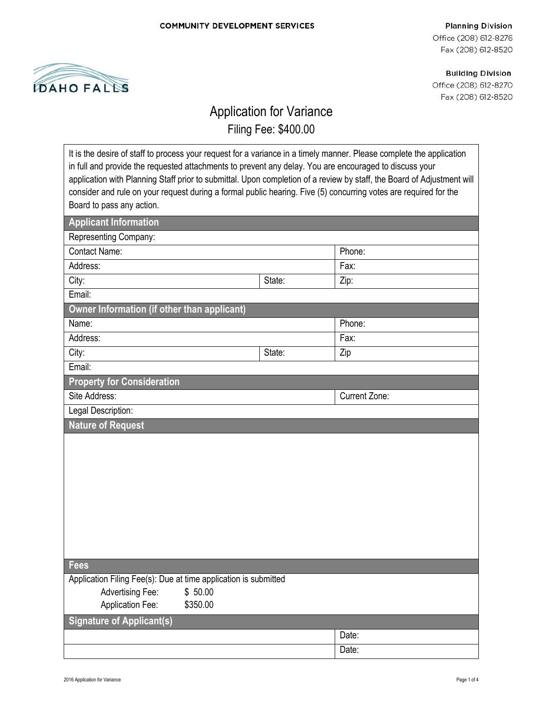

**Planning Division** Office (208) 612-8276 Fax (208) 612-8520

**Building Division** Office (208) 612-8270 Fax (208) 612-8520

## Application for Variance

Filing Fee: \$400.00

| It is the desire of staff to process your request for a variance in a timely manner. Please complete the application                                                                                                                       |        |               |  |
|--------------------------------------------------------------------------------------------------------------------------------------------------------------------------------------------------------------------------------------------|--------|---------------|--|
| in full and provide the requested attachments to prevent any delay. You are encouraged to discuss your                                                                                                                                     |        |               |  |
| application with Planning Staff prior to submittal. Upon completion of a review by staff, the Board of Adjustment will<br>consider and rule on your request during a formal public hearing. Five (5) concurring votes are required for the |        |               |  |
|                                                                                                                                                                                                                                            |        |               |  |
| Board to pass any action.                                                                                                                                                                                                                  |        |               |  |
| <b>Applicant Information</b>                                                                                                                                                                                                               |        |               |  |
| Representing Company:                                                                                                                                                                                                                      |        |               |  |
| <b>Contact Name:</b>                                                                                                                                                                                                                       |        | Phone:        |  |
| Address:                                                                                                                                                                                                                                   |        | Fax:          |  |
| City:                                                                                                                                                                                                                                      | State: | Zip:          |  |
| Email:                                                                                                                                                                                                                                     |        |               |  |
| Owner Information (if other than applicant)                                                                                                                                                                                                |        |               |  |
| Name:                                                                                                                                                                                                                                      |        | Phone:        |  |
| Address:                                                                                                                                                                                                                                   |        | Fax:          |  |
| City:                                                                                                                                                                                                                                      | State: | Zip           |  |
| Email:                                                                                                                                                                                                                                     |        |               |  |
| <b>Property for Consideration</b>                                                                                                                                                                                                          |        |               |  |
| Site Address:                                                                                                                                                                                                                              |        | Current Zone: |  |
| Legal Description:                                                                                                                                                                                                                         |        |               |  |
| <b>Nature of Request</b>                                                                                                                                                                                                                   |        |               |  |
|                                                                                                                                                                                                                                            |        |               |  |
|                                                                                                                                                                                                                                            |        |               |  |
|                                                                                                                                                                                                                                            |        |               |  |
|                                                                                                                                                                                                                                            |        |               |  |
|                                                                                                                                                                                                                                            |        |               |  |
|                                                                                                                                                                                                                                            |        |               |  |
|                                                                                                                                                                                                                                            |        |               |  |
|                                                                                                                                                                                                                                            |        |               |  |
|                                                                                                                                                                                                                                            |        |               |  |
| <b>Fees</b>                                                                                                                                                                                                                                |        |               |  |
| Application Filing Fee(s): Due at time application is submitted                                                                                                                                                                            |        |               |  |
| \$50.00<br><b>Advertising Fee:</b>                                                                                                                                                                                                         |        |               |  |
| <b>Application Fee:</b><br>\$350.00                                                                                                                                                                                                        |        |               |  |
| <b>Signature of Applicant(s)</b>                                                                                                                                                                                                           |        |               |  |
|                                                                                                                                                                                                                                            |        | Date:         |  |
|                                                                                                                                                                                                                                            |        | Date:         |  |
|                                                                                                                                                                                                                                            |        |               |  |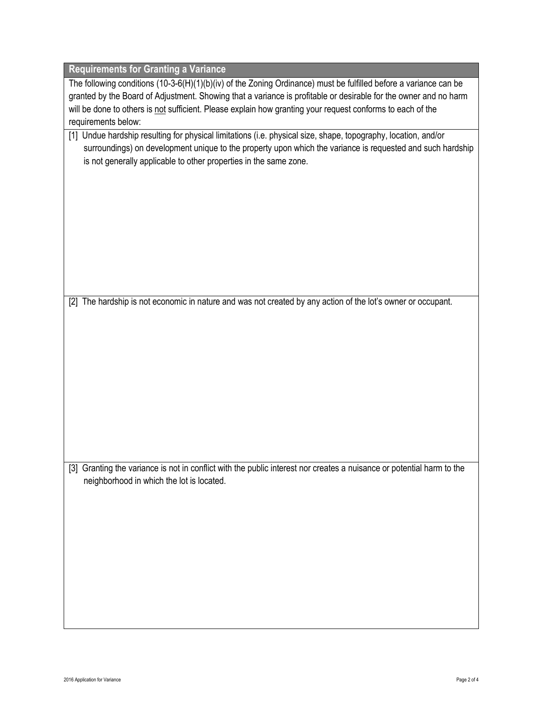| <b>Requirements for Granting a Variance</b>                                                                                                                                                                                                                                                       |  |  |  |
|---------------------------------------------------------------------------------------------------------------------------------------------------------------------------------------------------------------------------------------------------------------------------------------------------|--|--|--|
| The following conditions (10-3-6(H)(1)(b)(iv) of the Zoning Ordinance) must be fulfilled before a variance can be                                                                                                                                                                                 |  |  |  |
| granted by the Board of Adjustment. Showing that a variance is profitable or desirable for the owner and no harm                                                                                                                                                                                  |  |  |  |
| will be done to others is not sufficient. Please explain how granting your request conforms to each of the                                                                                                                                                                                        |  |  |  |
| requirements below:                                                                                                                                                                                                                                                                               |  |  |  |
| [1] Undue hardship resulting for physical limitations (i.e. physical size, shape, topography, location, and/or<br>surroundings) on development unique to the property upon which the variance is requested and such hardship<br>is not generally applicable to other properties in the same zone. |  |  |  |
|                                                                                                                                                                                                                                                                                                   |  |  |  |
|                                                                                                                                                                                                                                                                                                   |  |  |  |
|                                                                                                                                                                                                                                                                                                   |  |  |  |
|                                                                                                                                                                                                                                                                                                   |  |  |  |
|                                                                                                                                                                                                                                                                                                   |  |  |  |
|                                                                                                                                                                                                                                                                                                   |  |  |  |
|                                                                                                                                                                                                                                                                                                   |  |  |  |
|                                                                                                                                                                                                                                                                                                   |  |  |  |
|                                                                                                                                                                                                                                                                                                   |  |  |  |
| [2] The hardship is not economic in nature and was not created by any action of the lot's owner or occupant.                                                                                                                                                                                      |  |  |  |
|                                                                                                                                                                                                                                                                                                   |  |  |  |
|                                                                                                                                                                                                                                                                                                   |  |  |  |
|                                                                                                                                                                                                                                                                                                   |  |  |  |
|                                                                                                                                                                                                                                                                                                   |  |  |  |
|                                                                                                                                                                                                                                                                                                   |  |  |  |
|                                                                                                                                                                                                                                                                                                   |  |  |  |
|                                                                                                                                                                                                                                                                                                   |  |  |  |
|                                                                                                                                                                                                                                                                                                   |  |  |  |
|                                                                                                                                                                                                                                                                                                   |  |  |  |
|                                                                                                                                                                                                                                                                                                   |  |  |  |
|                                                                                                                                                                                                                                                                                                   |  |  |  |
| [3] Granting the variance is not in conflict with the public interest nor creates a nuisance or potential harm to the<br>neighborhood in which the lot is located.                                                                                                                                |  |  |  |
|                                                                                                                                                                                                                                                                                                   |  |  |  |
|                                                                                                                                                                                                                                                                                                   |  |  |  |
|                                                                                                                                                                                                                                                                                                   |  |  |  |
|                                                                                                                                                                                                                                                                                                   |  |  |  |
|                                                                                                                                                                                                                                                                                                   |  |  |  |
|                                                                                                                                                                                                                                                                                                   |  |  |  |
|                                                                                                                                                                                                                                                                                                   |  |  |  |
|                                                                                                                                                                                                                                                                                                   |  |  |  |
|                                                                                                                                                                                                                                                                                                   |  |  |  |
|                                                                                                                                                                                                                                                                                                   |  |  |  |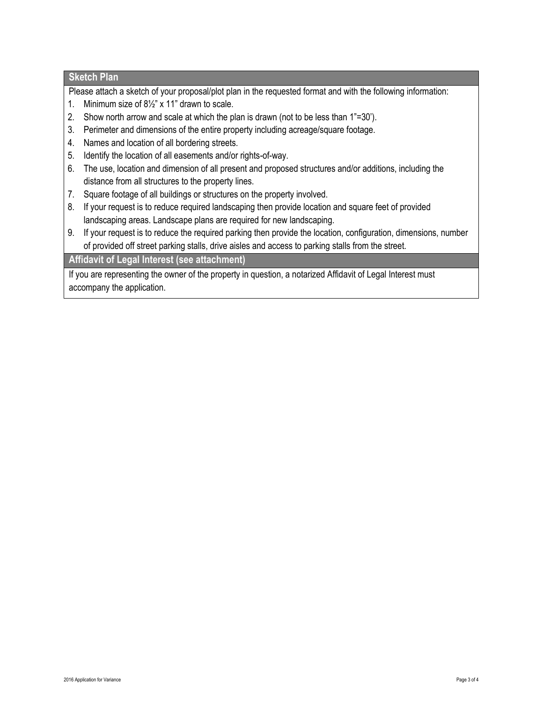## **Sketch Plan**

Please attach a sketch of your proposal/plot plan in the requested format and with the following information:

- 1. Minimum size of 8½" x 11" drawn to scale.
- 2. Show north arrow and scale at which the plan is drawn (not to be less than 1"=30').
- 3. Perimeter and dimensions of the entire property including acreage/square footage.
- 4. Names and location of all bordering streets.
- 5. Identify the location of all easements and/or rights-of-way.
- 6. The use, location and dimension of all present and proposed structures and/or additions, including the distance from all structures to the property lines.
- 7. Square footage of all buildings or structures on the property involved.
- 8. If your request is to reduce required landscaping then provide location and square feet of provided landscaping areas. Landscape plans are required for new landscaping.
- 9. If your request is to reduce the required parking then provide the location, configuration, dimensions, number of provided off street parking stalls, drive aisles and access to parking stalls from the street.

## **Affidavit of Legal Interest (see attachment)**

If you are representing the owner of the property in question, a notarized Affidavit of Legal Interest must accompany the application.